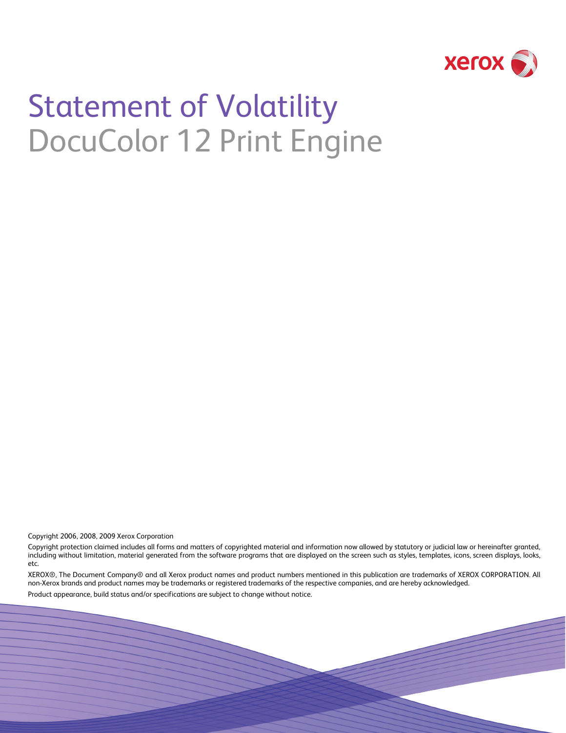

# Statement of Volatility DocuColor 12 Print Engine

Copyright 2006, 2008, 2009 Xerox Corporation

Copyright protection claimed includes all forms and matters of copyrighted material and information now allowed by statutory or judicial law or hereinafter granted, including without limitation, material generated from the software programs that are displayed on the screen such as styles, templates, icons, screen displays, looks, etc.

XEROX®, The Document Company® and all Xerox product names and product numbers mentioned in this publication are trademarks of XEROX CORPORATION. All non-Xerox brands and product names may be trademarks or registered trademarks of the respective companies, and are hereby acknowledged.

Product appearance, build status and/or specifications are subject to change without notice.

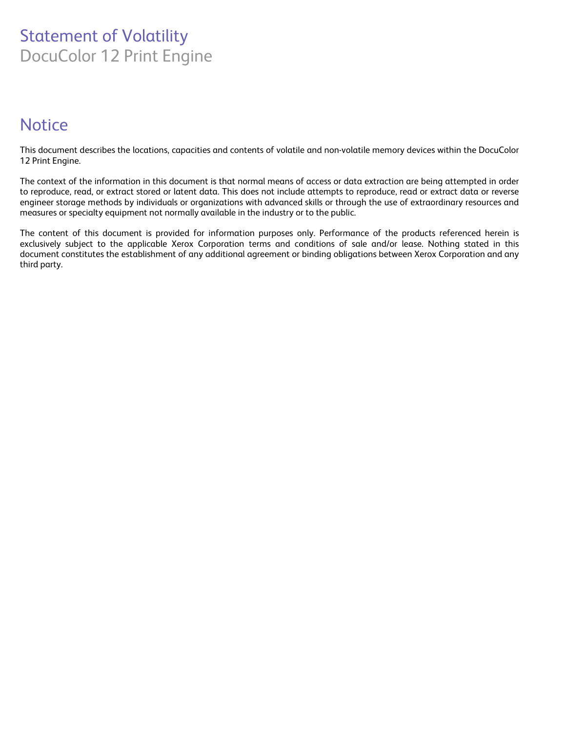# Statement of Volatility DocuColor 12 Print Engine

# **Notice**

This document describes the locations, capacities and contents of volatile and non-volatile memory devices within the DocuColor 12 Print Engine.

The context of the information in this document is that normal means of access or data extraction are being attempted in order to reproduce, read, or extract stored or latent data. This does not include attempts to reproduce, read or extract data or reverse engineer storage methods by individuals or organizations with advanced skills or through the use of extraordinary resources and measures or specialty equipment not normally available in the industry or to the public.

The content of this document is provided for information purposes only. Performance of the products referenced herein is exclusively subject to the applicable Xerox Corporation terms and conditions of sale and/or lease. Nothing stated in this document constitutes the establishment of any additional agreement or binding obligations between Xerox Corporation and any third party.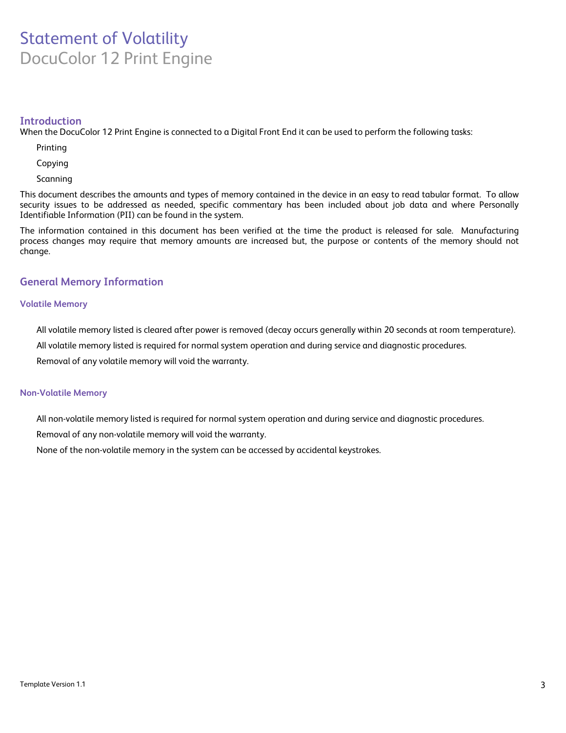## Statement of Volatility DocuColor 12 Print Engine

## **Introduction**

When the DocuColor 12 Print Engine is connected to a Digital Front End it can be used to perform the following tasks:

Printing

Copying

Scanning

This document describes the amounts and types of memory contained in the device in an easy to read tabular format. To allow security issues to be addressed as needed, specific commentary has been included about job data and where Personally Identifiable Information (PII) can be found in the system.

The information contained in this document has been verified at the time the product is released for sale. Manufacturing process changes may require that memory amounts are increased but, the purpose or contents of the memory should not change.

## **General Memory Information**

## **Volatile Memory**

All volatile memory listed is cleared after power is removed (decay occurs generally within 20 seconds at room temperature).

All volatile memory listed is required for normal system operation and during service and diagnostic procedures.

Removal of any volatile memory will void the warranty.

#### **Non-Volatile Memory**

All non-volatile memory listed is required for normal system operation and during service and diagnostic procedures.

Removal of any non-volatile memory will void the warranty.

None of the non-volatile memory in the system can be accessed by accidental keystrokes.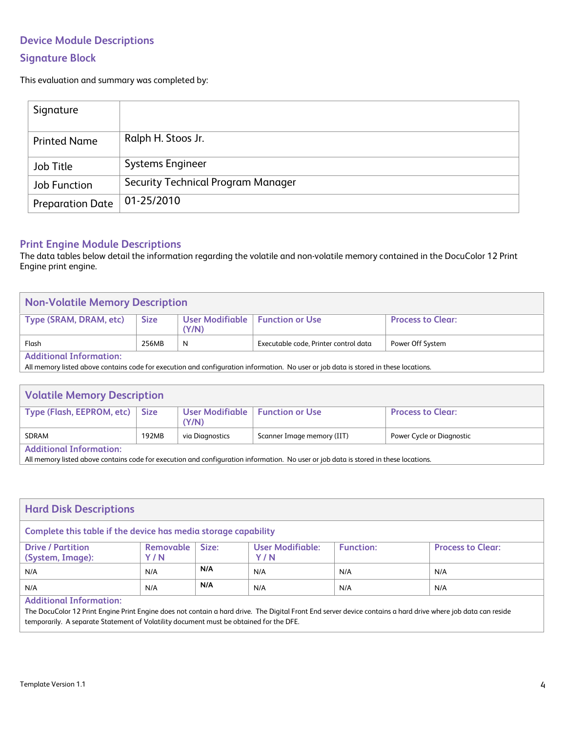## **Device Module Descriptions Signature Block**

This evaluation and summary was completed by:

| Signature           |                                    |
|---------------------|------------------------------------|
| <b>Printed Name</b> | Ralph H. Stoos Jr.                 |
| Job Title           | <b>Systems Engineer</b>            |
| Job Function        | Security Technical Program Manager |
| Preparation Date    | $01 - 25/2010$                     |

## **Print Engine Module Descriptions**

The data tables below detail the information regarding the volatile and non-volatile memory contained in the DocuColor 12 Print Engine print engine.

| <b>Non-Volatile Memory Description</b>                                                                                               |             |                                            |                                       |                          |
|--------------------------------------------------------------------------------------------------------------------------------------|-------------|--------------------------------------------|---------------------------------------|--------------------------|
| Type (SRAM, DRAM, etc)                                                                                                               | <b>Size</b> | User Modifiable   Function or Use<br>(Y/N) |                                       | <b>Process to Clear:</b> |
| Flash                                                                                                                                | 256MB       | N                                          | Executable code, Printer control data | Power Off System         |
| <b>Additional Information:</b>                                                                                                       |             |                                            |                                       |                          |
| All memory listed above contains code for execution and configuration information. No user or job data is stored in these locations. |             |                                            |                                       |                          |

| <b>Volatile Memory Description</b>                                                                                                                                                                                                                                |       |                                            |                            |                           |
|-------------------------------------------------------------------------------------------------------------------------------------------------------------------------------------------------------------------------------------------------------------------|-------|--------------------------------------------|----------------------------|---------------------------|
| Type (Flash, EEPROM, etc)                                                                                                                                                                                                                                         | Size  | User Modifiable   Function or Use<br>(Y/N) |                            | <b>Process to Clear:</b>  |
| SDRAM                                                                                                                                                                                                                                                             | 192MB | via Diagnostics                            | Scanner Image memory (IIT) | Power Cycle or Diagnostic |
| <b>Additional Information:</b><br>$\sim$ . The contract of the contract of the contract of the contract of the contract of the contract of the contract of the contract of the contract of the contract of the contract of the contract of the contract of the co |       |                                            |                            |                           |

All memory listed above contains code for execution and configuration information. No user or job data is stored in these locations.

| <b>Hard Disk Descriptions</b>                                  |                    |       |                                |                  |                          |
|----------------------------------------------------------------|--------------------|-------|--------------------------------|------------------|--------------------------|
| Complete this table if the device has media storage capability |                    |       |                                |                  |                          |
| <b>Drive / Partition</b><br>(System, Image):                   | Removable  <br>Y/N | Size: | <b>User Modifiable:</b><br>Y/N | <b>Function:</b> | <b>Process to Clear:</b> |
| N/A                                                            | N/A                | N/A   | N/A                            | N/A              | N/A                      |
| N/A                                                            | N/A                | N/A   | N/A                            | N/A              | N/A                      |
| <b>Additional Information:</b>                                 |                    |       |                                |                  |                          |

The DocuColor 12 Print Engine Print Engine does not contain a hard drive. The Digital Front End server device contains a hard drive where job data can reside temporarily. A separate Statement of Volatility document must be obtained for the DFE.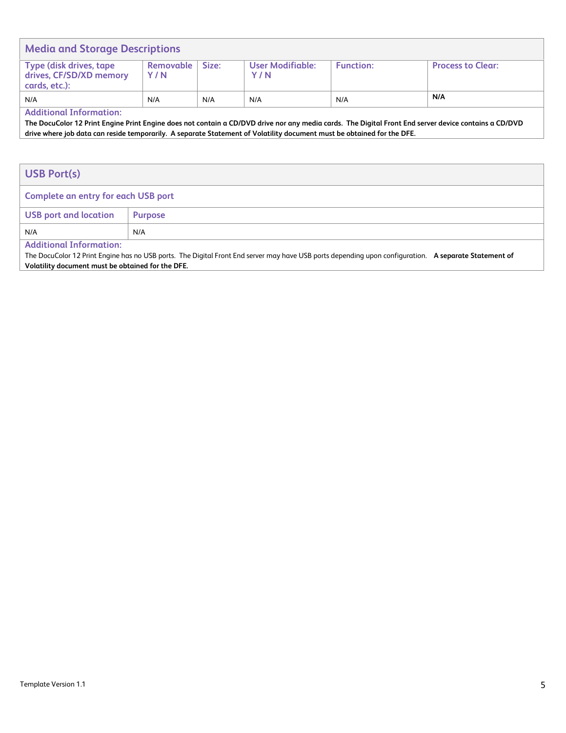| <b>Media and Storage Descriptions</b>                               |                         |       |                         |                  |                          |
|---------------------------------------------------------------------|-------------------------|-------|-------------------------|------------------|--------------------------|
| Type (disk drives, tape<br>drives, CF/SD/XD memory<br>cards, etc.): | <b>Removable</b><br>Y/N | Size: | User Modifiable:<br>Y/N | <b>Function:</b> | <b>Process to Clear:</b> |
| N/A<br>.<br>.                                                       | N/A                     | N/A   | N/A                     | N/A              | N/A                      |

**Additional Information:** 

**The DocuColor 12 Print Engine Print Engine does not contain a CD/DVD drive nor any media cards. The Digital Front End server device contains a CD/DVD drive where job data can reside temporarily. A separate Statement of Volatility document must be obtained for the DFE.**

| <b>USB Port(s)</b>                  |                |  |
|-------------------------------------|----------------|--|
| Complete an entry for each USB port |                |  |
| <b>USB</b> port and location        | <b>Purpose</b> |  |
| N/A                                 | N/A            |  |
| <b>Additional Information:</b>      |                |  |

The DocuColor 12 Print Engine has no USB ports. The Digital Front End server may have USB ports depending upon configuration. **A separate Statement of Volatility document must be obtained for the DFE.**